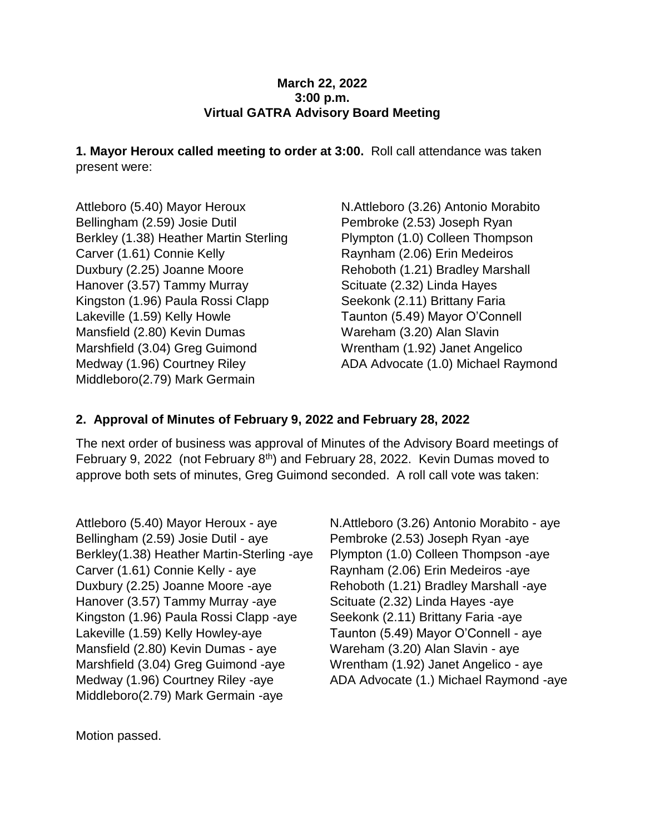#### **March 22, 2022 3:00 p.m. Virtual GATRA Advisory Board Meeting**

**1. Mayor Heroux called meeting to order at 3:00.** Roll call attendance was taken present were:

Attleboro (5.40) Mayor Heroux Bellingham (2.59) Josie Dutil Berkley (1.38) Heather Martin Sterling Carver (1.61) Connie Kelly Duxbury (2.25) Joanne Moore Hanover (3.57) Tammy Murray Kingston (1.96) Paula Rossi Clapp Lakeville (1.59) Kelly Howle Mansfield (2.80) Kevin Dumas Marshfield (3.04) Greg Guimond Medway (1.96) Courtney Riley Middleboro(2.79) Mark Germain

N.Attleboro (3.26) Antonio Morabito Pembroke (2.53) Joseph Ryan Plympton (1.0) Colleen Thompson Raynham (2.06) Erin Medeiros Rehoboth (1.21) Bradley Marshall Scituate (2.32) Linda Hayes Seekonk (2.11) Brittany Faria Taunton (5.49) Mayor O'Connell Wareham (3.20) Alan Slavin Wrentham (1.92) Janet Angelico ADA Advocate (1.0) Michael Raymond

### **2. Approval of Minutes of February 9, 2022 and February 28, 2022**

The next order of business was approval of Minutes of the Advisory Board meetings of February 9, 2022 (not February 8th) and February 28, 2022. Kevin Dumas moved to approve both sets of minutes, Greg Guimond seconded. A roll call vote was taken:

Attleboro (5.40) Mayor Heroux - aye Bellingham (2.59) Josie Dutil - aye Berkley(1.38) Heather Martin-Sterling -aye Carver (1.61) Connie Kelly - aye Duxbury (2.25) Joanne Moore -aye Hanover (3.57) Tammy Murray -aye Kingston (1.96) Paula Rossi Clapp -aye Lakeville (1.59) Kelly Howley-aye Mansfield (2.80) Kevin Dumas - aye Marshfield (3.04) Greg Guimond -aye Medway (1.96) Courtney Riley -aye Middleboro(2.79) Mark Germain -aye

N.Attleboro (3.26) Antonio Morabito - aye Pembroke (2.53) Joseph Ryan -aye Plympton (1.0) Colleen Thompson -aye Raynham (2.06) Erin Medeiros -aye Rehoboth (1.21) Bradley Marshall -aye Scituate (2.32) Linda Hayes -aye Seekonk (2.11) Brittany Faria -aye Taunton (5.49) Mayor O'Connell - aye Wareham (3.20) Alan Slavin - aye Wrentham (1.92) Janet Angelico - aye ADA Advocate (1.) Michael Raymond -aye

Motion passed.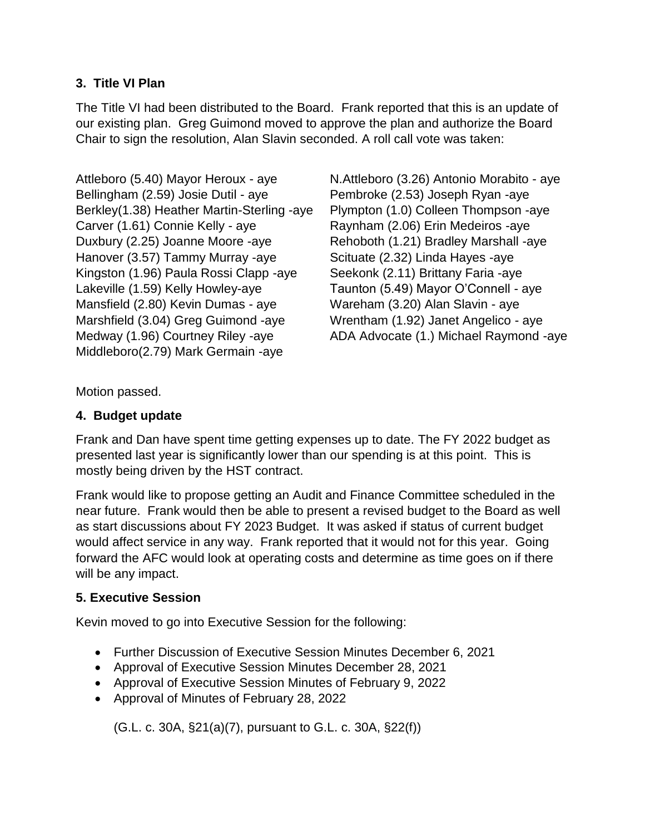## **3. Title VI Plan**

The Title VI had been distributed to the Board. Frank reported that this is an update of our existing plan. Greg Guimond moved to approve the plan and authorize the Board Chair to sign the resolution, Alan Slavin seconded. A roll call vote was taken:

Attleboro (5.40) Mayor Heroux - aye Bellingham (2.59) Josie Dutil - aye Berkley(1.38) Heather Martin-Sterling -aye Carver (1.61) Connie Kelly - aye Duxbury (2.25) Joanne Moore -aye Hanover (3.57) Tammy Murray -aye Kingston (1.96) Paula Rossi Clapp -aye Lakeville (1.59) Kelly Howley-aye Mansfield (2.80) Kevin Dumas - aye Marshfield (3.04) Greg Guimond -aye Medway (1.96) Courtney Riley -aye Middleboro(2.79) Mark Germain -aye

N.Attleboro (3.26) Antonio Morabito - aye Pembroke (2.53) Joseph Ryan -aye Plympton (1.0) Colleen Thompson -aye Raynham (2.06) Erin Medeiros -aye Rehoboth (1.21) Bradley Marshall -aye Scituate (2.32) Linda Hayes -aye Seekonk (2.11) Brittany Faria -aye Taunton (5.49) Mayor O'Connell - aye Wareham (3.20) Alan Slavin - aye Wrentham (1.92) Janet Angelico - aye ADA Advocate (1.) Michael Raymond -aye

Motion passed.

# **4. Budget update**

Frank and Dan have spent time getting expenses up to date. The FY 2022 budget as presented last year is significantly lower than our spending is at this point. This is mostly being driven by the HST contract.

Frank would like to propose getting an Audit and Finance Committee scheduled in the near future. Frank would then be able to present a revised budget to the Board as well as start discussions about FY 2023 Budget. It was asked if status of current budget would affect service in any way. Frank reported that it would not for this year. Going forward the AFC would look at operating costs and determine as time goes on if there will be any impact.

# **5. Executive Session**

Kevin moved to go into Executive Session for the following:

- Further Discussion of Executive Session Minutes December 6, 2021
- Approval of Executive Session Minutes December 28, 2021
- Approval of Executive Session Minutes of February 9, 2022
- Approval of Minutes of February 28, 2022

(G.L. c. 30A, §21(a)(7), pursuant to G.L. c. 30A, §22(f))